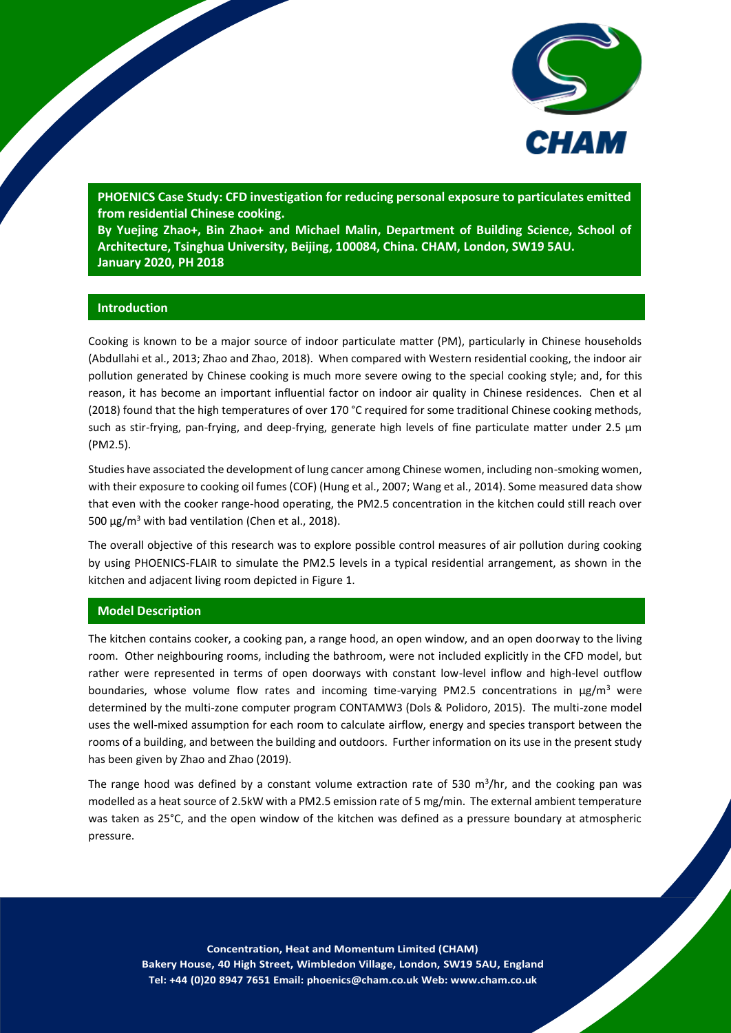

**PHOENICS Case Study: CFD investigation for reducing personal exposure to particulates emitted from residential Chinese cooking.**

**By Yuejing Zhao+, Bin Zhao+ and Michael Malin, Department of Building Science, School of Architecture, Tsinghua University, Beijing, 100084, China. CHAM, London, SW19 5AU. January 2020, PH 2018**

# **Introduction**

Cooking is known to be a major source of indoor particulate matter (PM), particularly in Chinese households (Abdullahi et al., 2013; Zhao and Zhao, 2018). When compared with Western residential cooking, the indoor air pollution generated by Chinese cooking is much more severe owing to the special cooking style; and, for this reason, it has become an important influential factor on indoor air quality in Chinese residences. Chen et al (2018) found that the high temperatures of over 170 °C required for some traditional Chinese cooking methods, such as stir-frying, pan-frying, and deep-frying, generate high levels of fine particulate matter under 2.5 μm (PM2.5).

Studies have associated the development of lung cancer among Chinese women, including non-smoking women, with their exposure to cooking oil fumes (COF) (Hung et al., 2007; Wang et al., 2014). Some measured data show that even with the cooker range-hood operating, the PM2.5 concentration in the kitchen could still reach over 500 μg/m<sup>3</sup> with bad ventilation (Chen et al., 2018).

The overall objective of this research was to explore possible control measures of air pollution during cooking by using PHOENICS-FLAIR to simulate the PM2.5 levels in a typical residential arrangement, as shown in the kitchen and adjacent living room depicted in Figure 1.

## **Model Description**

The kitchen contains cooker, a cooking pan, a range hood, an open window, and an open doorway to the living room. Other neighbouring rooms, including the bathroom, were not included explicitly in the CFD model, but rather were represented in terms of open doorways with constant low-level inflow and high-level outflow boundaries, whose volume flow rates and incoming time-varying PM2.5 concentrations in  $\mu g/m^3$  were determined by the multi-zone computer program CONTAMW3 (Dols & Polidoro, 2015). The multi-zone model uses the well-mixed assumption for each room to calculate airflow, energy and species transport between the rooms of a building, and between the building and outdoors. Further information on its use in the present study has been given by Zhao and Zhao (2019).

The range hood was defined by a constant volume extraction rate of 530 m<sup>3</sup>/hr, and the cooking pan was modelled as a heat source of 2.5kW with a PM2.5 emission rate of 5 mg/min. The external ambient temperature was taken as 25°C, and the open window of the kitchen was defined as a pressure boundary at atmospheric pressure.

1 **Bakery House, 40 High Street, Wimbledon Village, London, SW19 5AU, England Concentration, Heat and Momentum Limited (CHAM) Tel: +44 (0)20 8947 7651 Email: phoenics@cham.co.uk Web: www.cham.co.uk**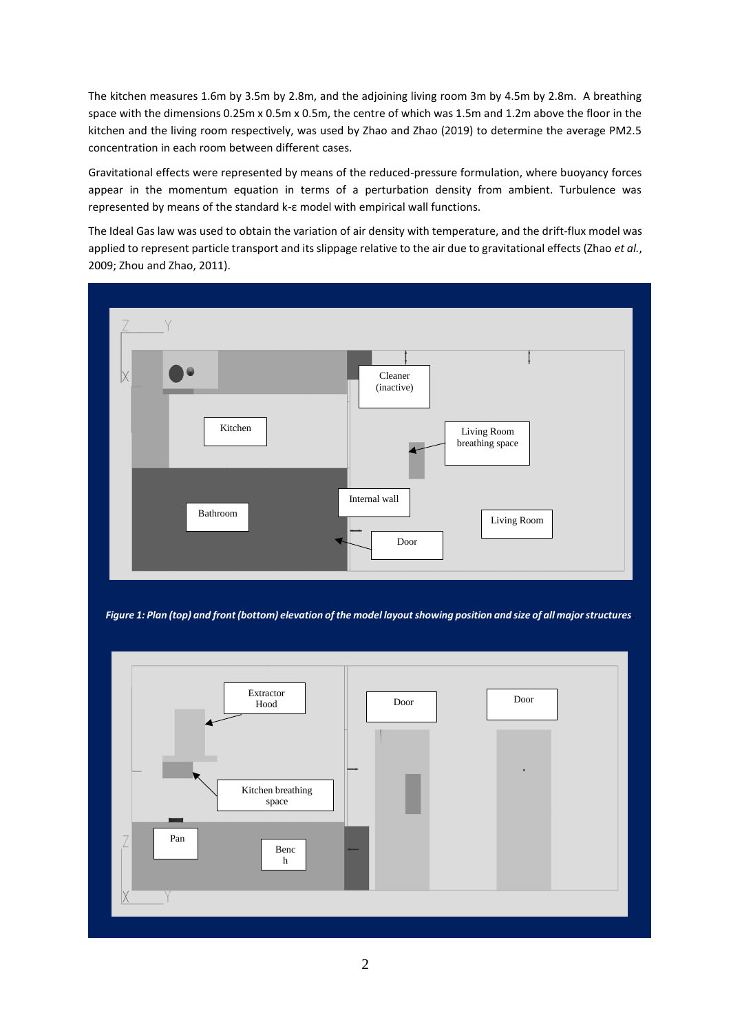The kitchen measures 1.6m by 3.5m by 2.8m, and the adjoining living room 3m by 4.5m by 2.8m. A breathing space with the dimensions 0.25m x 0.5m x 0.5m, the centre of which was 1.5m and 1.2m above the floor in the kitchen and the living room respectively, was used by Zhao and Zhao (2019) to determine the average PM2.5 concentration in each room between different cases.

Gravitational effects were represented by means of the reduced-pressure formulation, where buoyancy forces appear in the momentum equation in terms of a perturbation density from ambient. Turbulence was represented by means of the standard k-ε model with empirical wall functions.

The Ideal Gas law was used to obtain the variation of air density with temperature, and the drift-flux model was applied to represent particle transport and its slippage relative to the air due to gravitational effects (Zhao *et al.*, 2009; Zhou and Zhao, 2011).





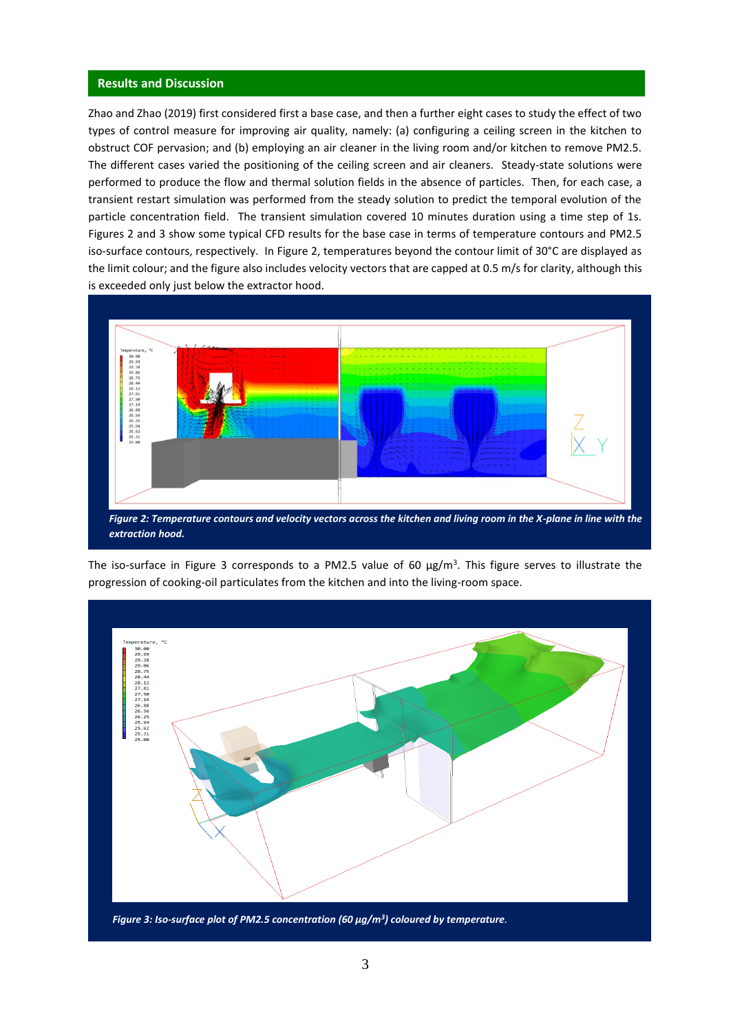#### **Results and Discussion**

Zhao and Zhao (2019) first considered first a base case, and then a further eight cases to study the effect of two types of control measure for improving air quality, namely: (a) configuring a ceiling screen in the kitchen to obstruct COF pervasion; and (b) employing an air cleaner in the living room and/or kitchen to remove PM2.5. The different cases varied the positioning of the ceiling screen and air cleaners. Steady-state solutions were performed to produce the flow and thermal solution fields in the absence of particles. Then, for each case, a transient restart simulation was performed from the steady solution to predict the temporal evolution of the particle concentration field. The transient simulation covered 10 minutes duration using a time step of 1s. Figures 2 and 3 show some typical CFD results for the base case in terms of temperature contours and PM2.5 iso-surface contours, respectively. In Figure 2, temperatures beyond the contour limit of 30°C are displayed as the limit colour; and the figure also includes velocity vectors that are capped at 0.5 m/s for clarity, although this is exceeded only just below the extractor hood.



*extraction hood.*

The iso-surface in Figure 3 corresponds to a PM2.5 value of 60  $\mu$ g/m<sup>3</sup>. This figure serves to illustrate the progression of cooking-oil particulates from the kitchen and into the living-room space.